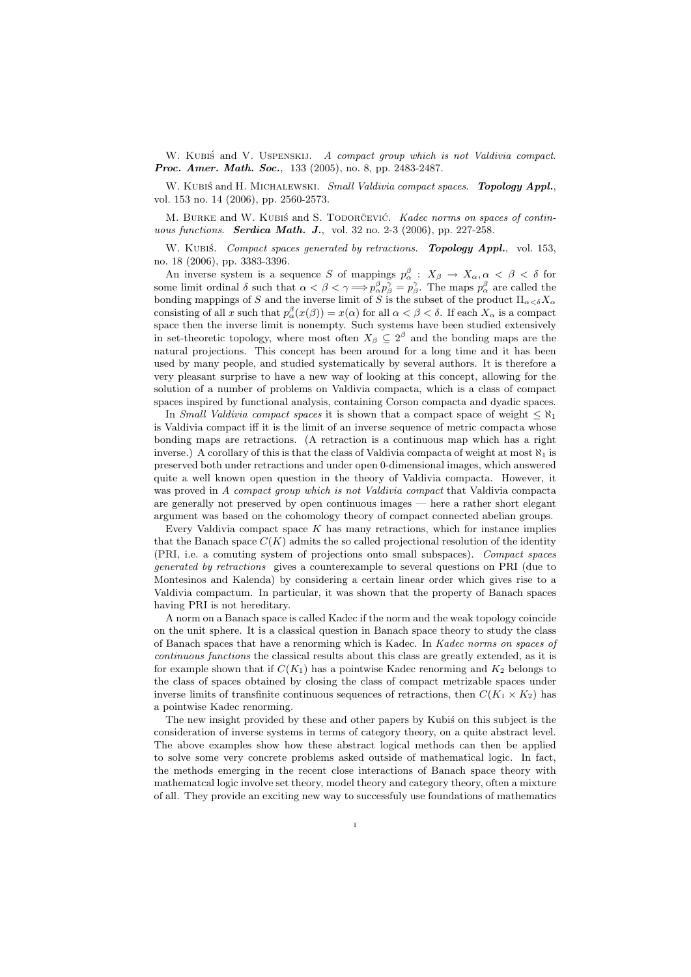W. KUBIS and V. USPENSKIJ. A compact group which is not Valdivia compact. Proc. Amer. Math. Soc., 133 (2005), no. 8, pp. 2483-2487.

W. KUBIŚ and H. MICHALEWSKI. Small Valdivia compact spaces. Topology Appl., vol. 153 no. 14 (2006), pp. 2560-2573.

M. BURKE and W. KUBIS and S. TODORCEVIC. Kadec norms on spaces of continuous functions. **Serdica Math. J.**, vol. 32 no. 2-3 (2006), pp. 227-258.

W. KUBIŚ. Compact spaces generated by retractions. Topology Appl., vol. 153, no. 18 (2006), pp. 3383-3396.

An inverse system is a sequence S of mappings  $p_{\alpha}^{\beta}: X_{\beta} \to X_{\alpha}, \alpha < \beta < \delta$  for some limit ordinal  $\delta$  such that  $\alpha < \beta < \gamma \Longrightarrow p^{\beta}_{\alpha} p^{\gamma}_{\beta} = p^{\gamma}_{\beta}$ . The maps  $p^{\beta}_{\alpha}$  are called the bonding mappings of S and the inverse limit of S is the subset of the product  $\Pi_{\alpha<\delta}X_{\alpha}$ consisting of all x such that  $p_{\alpha}^{\beta}(x(\beta)) = x(\alpha)$  for all  $\alpha < \beta < \delta$ . If each  $X_{\alpha}$  is a compact space then the inverse limit is nonempty. Such systems have been studied extensively in set-theoretic topology, where most often  $X_{\beta} \subseteq 2^{\beta}$  and the bonding maps are the natural projections. This concept has been around for a long time and it has been used by many people, and studied systematically by several authors. It is therefore a very pleasant surprise to have a new way of looking at this concept, allowing for the solution of a number of problems on Valdivia compacta, which is a class of compact spaces inspired by functional analysis, containing Corson compacta and dyadic spaces.

In Small Valdivia compact spaces it is shown that a compact space of weight  $\leq \aleph_1$ is Valdivia compact iff it is the limit of an inverse sequence of metric compacta whose bonding maps are retractions. (A retraction is a continuous map which has a right inverse.) A corollary of this is that the class of Valdivia compacta of weight at most  $\aleph_1$  is preserved both under retractions and under open 0-dimensional images, which answered quite a well known open question in the theory of Valdivia compacta. However, it was proved in A compact group which is not Valdivia compact that Valdivia compacta are generally not preserved by open continuous images — here a rather short elegant argument was based on the cohomology theory of compact connected abelian groups.

Every Valdivia compact space  $K$  has many retractions, which for instance implies that the Banach space  $C(K)$  admits the so called projectional resolution of the identity (PRI, i.e. a comuting system of projections onto small subspaces). Compact spaces generated by retractions gives a counterexample to several questions on PRI (due to Montesinos and Kalenda) by considering a certain linear order which gives rise to a Valdivia compactum. In particular, it was shown that the property of Banach spaces having PRI is not hereditary.

A norm on a Banach space is called Kadec if the norm and the weak topology coincide on the unit sphere. It is a classical question in Banach space theory to study the class of Banach spaces that have a renorming which is Kadec. In Kadec norms on spaces of continuous functions the classical results about this class are greatly extended, as it is for example shown that if  $C(K_1)$  has a pointwise Kadec renorming and  $K_2$  belongs to the class of spaces obtained by closing the class of compact metrizable spaces under inverse limits of transfinite continuous sequences of retractions, then  $C(K_1 \times K_2)$  has a pointwise Kadec renorming.

The new insight provided by these and other papers by Kubis on this subject is the consideration of inverse systems in terms of category theory, on a quite abstract level. The above examples show how these abstract logical methods can then be applied to solve some very concrete problems asked outside of mathematical logic. In fact, the methods emerging in the recent close interactions of Banach space theory with mathematcal logic involve set theory, model theory and category theory, often a mixture of all. They provide an exciting new way to successfuly use foundations of mathematics